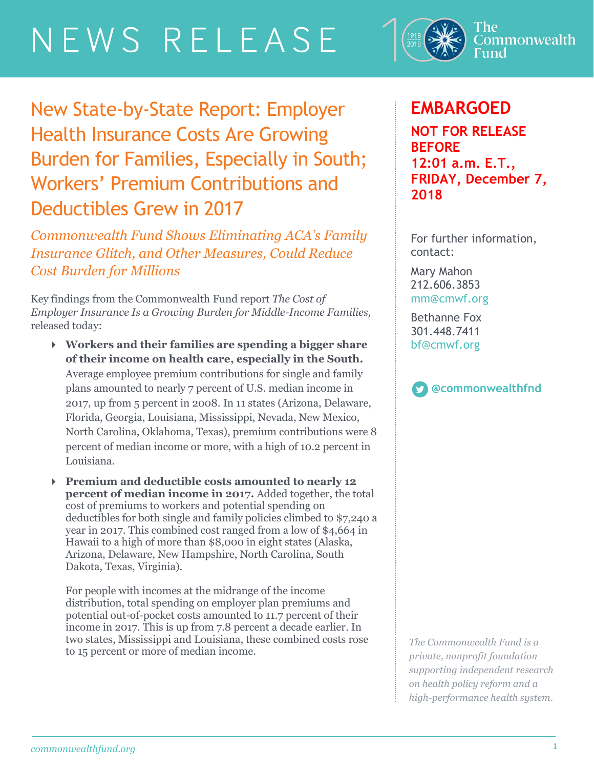# NEWS RELEASE



New State-by-State Report: Employer Health Insurance Costs Are Growing Burden for Families, Especially in South; Workers' Premium Contributions and Deductibles Grew in 2017

*Commonwealth Fund Shows Eliminating ACA's Family Insurance Glitch, and Other Measures, Could Reduce Cost Burden for Millions*

Key findings from the Commonwealth Fund report *The Cost of Employer Insurance Is a Growing Burden for Middle-Income Families,* released today:

- **Workers and their families are spending a bigger share of their income on health care, especially in the South.** Average employee premium contributions for single and family plans amounted to nearly 7 percent of U.S. median income in 2017, up from 5 percent in 2008. In 11 states (Arizona, Delaware, Florida, Georgia, Louisiana, Mississippi, Nevada, New Mexico, North Carolina, Oklahoma, Texas), premium contributions were 8 percent of median income or more, with a high of 10.2 percent in Louisiana.
- **Premium and deductible costs amounted to nearly 12 percent of median income in 2017.** Added together, the total cost of premiums to workers and potential spending on deductibles for both single and family policies climbed to \$7,240 a year in 2017. This combined cost ranged from a low of \$4,664 in Hawaii to a high of more than \$8,000 in eight states (Alaska, Arizona, Delaware, New Hampshire, North Carolina, South Dakota, Texas, Virginia).

For people with incomes at the midrange of the income distribution, total spending on employer plan premiums and potential out-of-pocket costs amounted to 11.7 percent of their income in 2017. This is up from 7.8 percent a decade earlier. In two states, Mississippi and Louisiana, these combined costs rose to 15 percent or more of median income.

## **EMBARGOED**

**NOT FOR RELEASE BEFORE 12:01 a.m. E.T., FRIDAY, December 7, 2018**

For further information, contact:

Mary Mahon 212.606.3853 [mm@cmwf.org](mailto:mm@cmwf.org)

Bethanne Fox 301.448.7411 [bf@cmwf.org](mailto:jweymouth@burnesscommunications.com)



*The Commonwealth Fund is a private, nonprofit foundation supporting independent research on health policy reform and a high-performance health system.*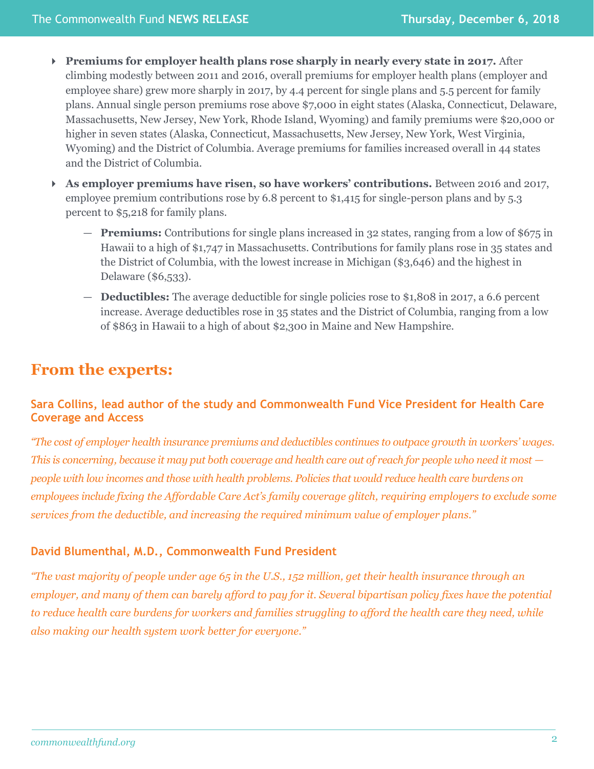- **Premiums for employer health plans rose sharply in nearly every state in 2017.** After climbing modestly between 2011 and 2016, overall premiums for employer health plans (employer and employee share) grew more sharply in 2017, by 4.4 percent for single plans and 5.5 percent for family plans. Annual single person premiums rose above \$7,000 in eight states (Alaska, Connecticut, Delaware, Massachusetts, New Jersey, New York, Rhode Island, Wyoming) and family premiums were \$20,000 or higher in seven states (Alaska, Connecticut, Massachusetts, New Jersey, New York, West Virginia, Wyoming) and the District of Columbia. Average premiums for families increased overall in 44 states and the District of Columbia.
- **As employer premiums have risen, so have workers' contributions.** Between 2016 and 2017, employee premium contributions rose by 6.8 percent to \$1,415 for single-person plans and by 5.3 percent to \$5,218 for family plans.
	- **Premiums:** Contributions for single plans increased in 32 states, ranging from a low of \$675 in Hawaii to a high of \$1,747 in Massachusetts. Contributions for family plans rose in 35 states and the District of Columbia, with the lowest increase in Michigan (\$3,646) and the highest in Delaware (\$6,533).
	- **Deductibles:** The average deductible for single policies rose to \$1,808 in 2017, a 6.6 percent increase. Average deductibles rose in 35 states and the District of Columbia, ranging from a low of \$863 in Hawaii to a high of about \$2,300 in Maine and New Hampshire.

## **From the experts:**

#### **Sara Collins, lead author of the study and Commonwealth Fund Vice President for Health Care Coverage and Access**

*"The cost of employer health insurance premiums and deductibles continues to outpace growth in workers' wages. This is concerning, because it may put both coverage and health care out of reach for people who need it most*  $$ *people with low incomes and those with health problems. Policies that would reduce health care burdens on employees include fixing the Affordable Care Act's family coverage glitch, requiring employers to exclude some services from the deductible, and increasing the required minimum value of employer plans."*

#### **David Blumenthal, M.D., Commonwealth Fund President**

*"The vast majority of people under age 65 in the U.S., 152 million, get their health insurance through an employer, and many of them can barely afford to pay for it. Several bipartisan policy fixes have the potential to reduce health care burdens for workers and families struggling to afford the health care they need, while also making our health system work better for everyone."*